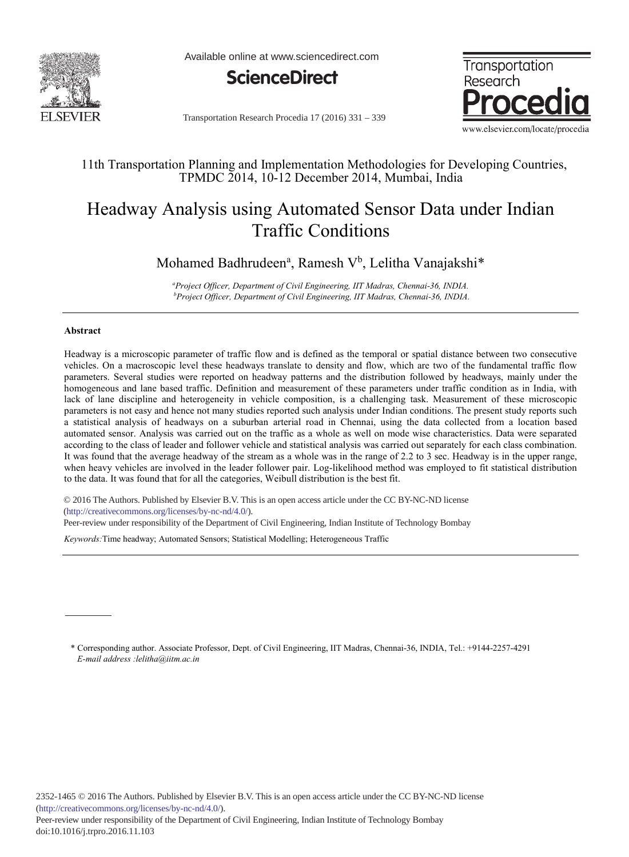

Available online at www.sciencedirect.com



Transportation Research Procedia 17 (2016) 331 - 339



## 11th Transportation Planning and Implementation Methodologies for Developing Countries, TPMDC 2014, 10-12 December 2014, Mumbai, India

# Headway Analysis using Automated Sensor Data under Indian Traffic Conditions

# Mohamed Badhrudeen<sup>a</sup>, Ramesh V<sup>b</sup>, Lelitha Vanajakshi\*

*a Project Officer, Department of Civil Engineering, IIT Madras, Chennai-36, INDIA. b Project Officer, Department of Civil Engineering, IIT Madras, Chennai-36, INDIA.* 

#### Abstract

Headway is a microscopic parameter of traffic flow and is defined as the temporal or spatial distance between two consecutive vehicles. On a macroscopic level these headways translate to density and flow, which are two of the fundamental traffic flow parameters. Several studies were reported on headway patterns and the distribution followed by headways, mainly under the homogeneous and lane based traffic. Definition and measurement of these parameters under traffic condition as in India, with lack of lane discipline and heterogeneity in vehicle composition, is a challenging task. Measurement of these microscopic parameters is not easy and hence not many studies reported such analysis under Indian conditions. The present study reports such a statistical analysis of headways on a suburban arterial road in Chennai, using the data collected from a location based automated sensor. Analysis was carried out on the traffic as a whole as well on mode wise characteristics. Data were separated according to the class of leader and follower vehicle and statistical analysis was carried out separately for each class combination. It was found that the average headway of the stream as a whole was in the range of 2.2 to 3 sec. Headway is in the upper range, when heavy vehicles are involved in the leader follower pair. Log-likelihood method was employed to fit statistical distribution to the data. It was found that for all the categories, Weibull distribution is the best fit.

© 2016 The Authors. Published by Elsevier B.V. This is an open access article under the CC BY-NC-ND license (http://creativecommons.org/licenses/by-nc-nd/4.0/).

Peer-review under responsibility of the Department of Civil Engineering, Indian Institute of Technology Bombay

*Keywords:*Time headway; Automated Sensors; Statistical Modelling; Heterogeneous Traffic

<sup>\*</sup> Corresponding author. Associate Professor, Dept. of Civil Engineering, IIT Madras, Chennai-36, INDIA, Tel.: +9144-2257-4291 *E-mail address :lelitha@iitm.ac.in*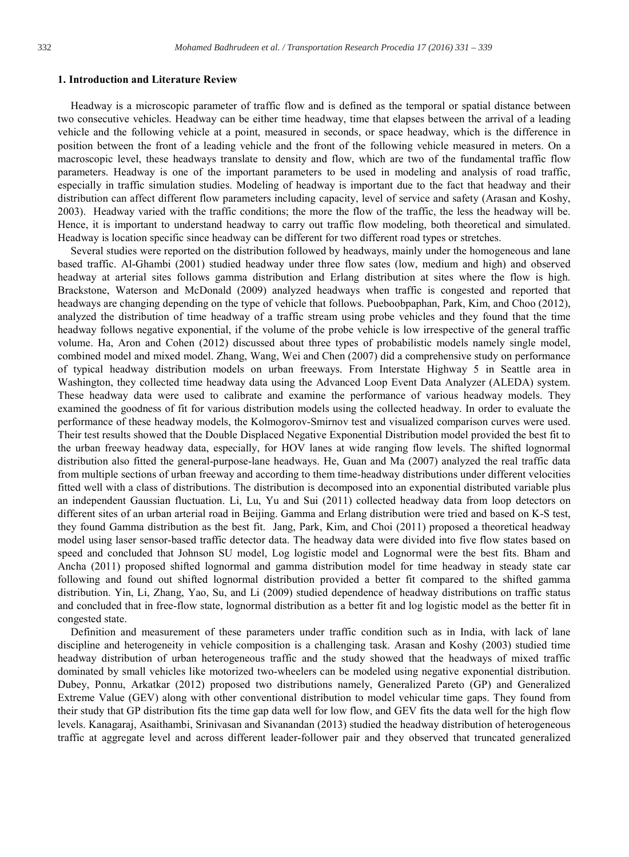#### 1. Introduction and Literature Review

Headway is a microscopic parameter of traffic flow and is defined as the temporal or spatial distance between two consecutive vehicles. Headway can be either time headway, time that elapses between the arrival of a leading vehicle and the following vehicle at a point, measured in seconds, or space headway, which is the difference in position between the front of a leading vehicle and the front of the following vehicle measured in meters. On a macroscopic level, these headways translate to density and flow, which are two of the fundamental traffic flow parameters. Headway is one of the important parameters to be used in modeling and analysis of road traffic, especially in traffic simulation studies. Modeling of headway is important due to the fact that headway and their distribution can affect different flow parameters including capacity, level of service and safety (Arasan and Koshy, 2003). Headway varied with the traffic conditions; the more the flow of the traffic, the less the headway will be. Hence, it is important to understand headway to carry out traffic flow modeling, both theoretical and simulated. Headway is location specific since headway can be different for two different road types or stretches.

Several studies were reported on the distribution followed by headways, mainly under the homogeneous and lane based traffic. Al-Ghambi (2001) studied headway under three flow sates (low, medium and high) and observed headway at arterial sites follows gamma distribution and Erlang distribution at sites where the flow is high. Brackstone, Waterson and McDonald (2009) analyzed headways when traffic is congested and reported that headways are changing depending on the type of vehicle that follows. Pueboobpaphan, Park, Kim, and Choo (2012), analyzed the distribution of time headway of a traffic stream using probe vehicles and they found that the time headway follows negative exponential, if the volume of the probe vehicle is low irrespective of the general traffic volume. Ha, Aron and Cohen (2012) discussed about three types of probabilistic models namely single model, combined model and mixed model. Zhang, Wang, Wei and Chen (2007) did a comprehensive study on performance of typical headway distribution models on urban freeways. From Interstate Highway 5 in Seattle area in Washington, they collected time headway data using the Advanced Loop Event Data Analyzer (ALEDA) system. These headway data were used to calibrate and examine the performance of various headway models. They examined the goodness of fit for various distribution models using the collected headway. In order to evaluate the performance of these headway models, the Kolmogorov-Smirnov test and visualized comparison curves were used. Their test results showed that the Double Displaced Negative Exponential Distribution model provided the best fit to the urban freeway headway data, especially, for HOV lanes at wide ranging flow levels. The shifted lognormal distribution also fitted the general-purpose-lane headways. He, Guan and Ma (2007) analyzed the real traffic data from multiple sections of urban freeway and according to them time-headway distributions under different velocities fitted well with a class of distributions. The distribution is decomposed into an exponential distributed variable plus an independent Gaussian fluctuation. Li, Lu, Yu and Sui (2011) collected headway data from loop detectors on different sites of an urban arterial road in Beijing. Gamma and Erlang distribution were tried and based on K-S test, they found Gamma distribution as the best fit. Jang, Park, Kim, and Choi (2011) proposed a theoretical headway model using laser sensor-based traffic detector data. The headway data were divided into five flow states based on speed and concluded that Johnson SU model, Log logistic model and Lognormal were the best fits. Bham and Ancha (2011) proposed shifted lognormal and gamma distribution model for time headway in steady state car following and found out shifted lognormal distribution provided a better fit compared to the shifted gamma distribution. Yin, Li, Zhang, Yao, Su, and Li (2009) studied dependence of headway distributions on traffic status and concluded that in free-flow state, lognormal distribution as a better fit and log logistic model as the better fit in congested state.

Definition and measurement of these parameters under traffic condition such as in India, with lack of lane discipline and heterogeneity in vehicle composition is a challenging task. Arasan and Koshy (2003) studied time headway distribution of urban heterogeneous traffic and the study showed that the headways of mixed traffic dominated by small vehicles like motorized two-wheelers can be modeled using negative exponential distribution. Dubey, Ponnu, Arkatkar (2012) proposed two distributions namely, Generalized Pareto (GP) and Generalized Extreme Value (GEV) along with other conventional distribution to model vehicular time gaps. They found from their study that GP distribution fits the time gap data well for low flow, and GEV fits the data well for the high flow levels. Kanagaraj, Asaithambi, Srinivasan and Sivanandan (2013) studied the headway distribution of heterogeneous traffic at aggregate level and across different leader-follower pair and they observed that truncated generalized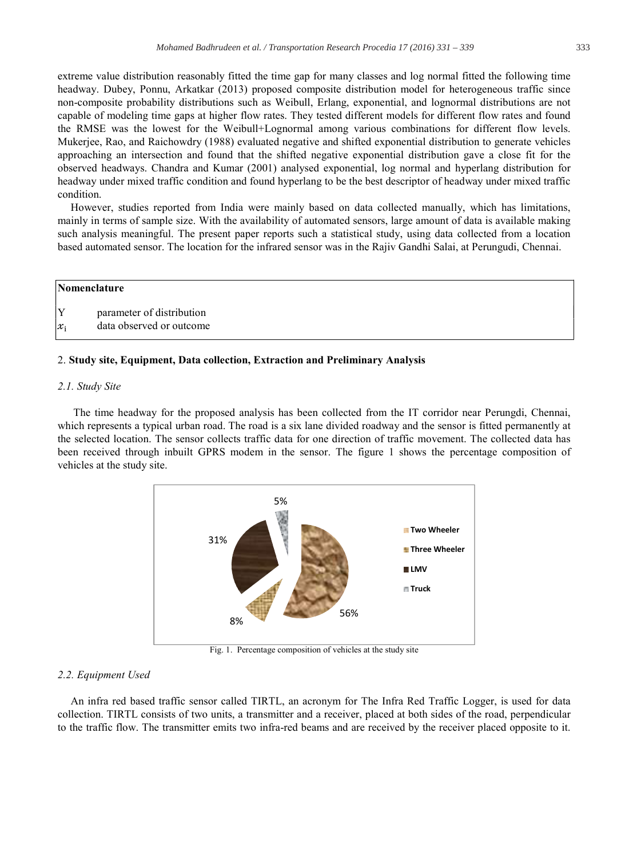extreme value distribution reasonably fitted the time gap for many classes and log normal fitted the following time headway. Dubey, Ponnu, Arkatkar (2013) proposed composite distribution model for heterogeneous traffic since non-composite probability distributions such as Weibull, Erlang, exponential, and lognormal distributions are not capable of modeling time gaps at higher flow rates. They tested different models for different flow rates and found the RMSE was the lowest for the Weibull+Lognormal among various combinations for different flow levels. Mukerjee, Rao, and Raichowdry (1988) evaluated negative and shifted exponential distribution to generate vehicles approaching an intersection and found that the shifted negative exponential distribution gave a close fit for the observed headways. Chandra and Kumar (2001) analysed exponential, log normal and hyperlang distribution for headway under mixed traffic condition and found hyperlang to be the best descriptor of headway under mixed traffic condition.

However, studies reported from India were mainly based on data collected manually, which has limitations, mainly in terms of sample size. With the availability of automated sensors, large amount of data is available making such analysis meaningful. The present paper reports such a statistical study, using data collected from a location based automated sensor. The location for the infrared sensor was in the Rajiv Gandhi Salai, at Perungudi, Chennai.

| Nomenclature |                                                       |  |  |  |  |  |  |  |
|--------------|-------------------------------------------------------|--|--|--|--|--|--|--|
| ΙY           | parameter of distribution<br>data observed or outcome |  |  |  |  |  |  |  |
| $ x_i$       |                                                       |  |  |  |  |  |  |  |

#### 2. Study site, Equipment, Data collection, Extraction and Preliminary Analysis

#### *2.1. Study Site*

 The time headway for the proposed analysis has been collected from the IT corridor near Perungdi, Chennai, which represents a typical urban road. The road is a six lane divided roadway and the sensor is fitted permanently at the selected location. The sensor collects traffic data for one direction of traffic movement. The collected data has been received through inbuilt GPRS modem in the sensor. The figure 1 shows the percentage composition of vehicles at the study site.



Fig. 1. Percentage composition of vehicles at the study site

#### *2.2. Equipment Used*

An infra red based traffic sensor called TIRTL, an acronym for The Infra Red Traffic Logger, is used for data collection. TIRTL consists of two units, a transmitter and a receiver, placed at both sides of the road, perpendicular to the traffic flow. The transmitter emits two infra-red beams and are received by the receiver placed opposite to it.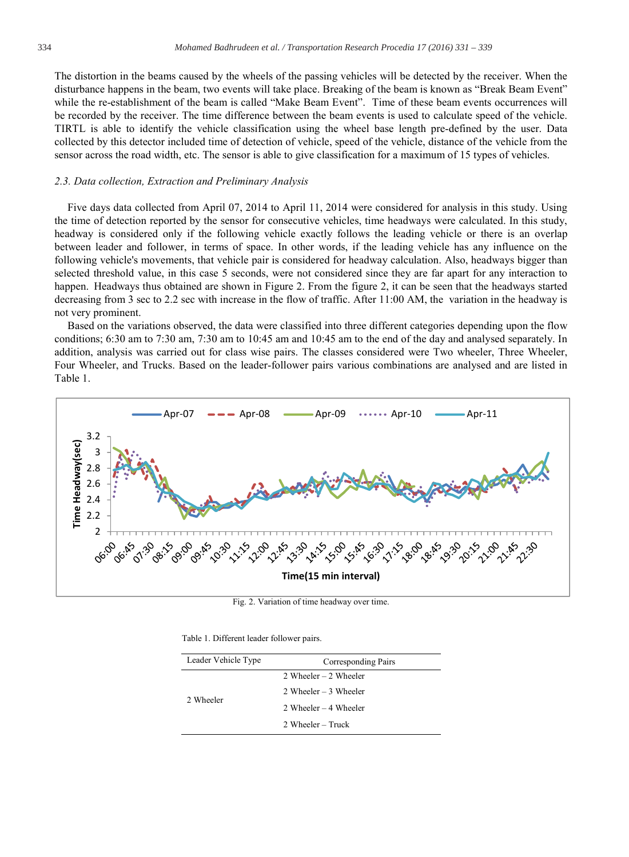The distortion in the beams caused by the wheels of the passing vehicles will be detected by the receiver. When the disturbance happens in the beam, two events will take place. Breaking of the beam is known as "Break Beam Event" while the re-establishment of the beam is called "Make Beam Event". Time of these beam events occurrences will be recorded by the receiver. The time difference between the beam events is used to calculate speed of the vehicle. TIRTL is able to identify the vehicle classification using the wheel base length pre-defined by the user. Data collected by this detector included time of detection of vehicle, speed of the vehicle, distance of the vehicle from the sensor across the road width, etc. The sensor is able to give classification for a maximum of 15 types of vehicles.

#### *2.3. Data collection, Extraction and Preliminary Analysis*

Five days data collected from April 07, 2014 to April 11, 2014 were considered for analysis in this study. Using the time of detection reported by the sensor for consecutive vehicles, time headways were calculated. In this study, headway is considered only if the following vehicle exactly follows the leading vehicle or there is an overlap between leader and follower, in terms of space. In other words, if the leading vehicle has any influence on the following vehicle's movements, that vehicle pair is considered for headway calculation. Also, headways bigger than selected threshold value, in this case 5 seconds, were not considered since they are far apart for any interaction to happen. Headways thus obtained are shown in Figure 2. From the figure 2, it can be seen that the headways started decreasing from 3 sec to 2.2 sec with increase in the flow of traffic. After 11:00 AM, the variation in the headway is not very prominent.

Based on the variations observed, the data were classified into three different categories depending upon the flow conditions; 6:30 am to 7:30 am, 7:30 am to 10:45 am and 10:45 am to the end of the day and analysed separately. In addition, analysis was carried out for class wise pairs. The classes considered were Two wheeler, Three Wheeler, Four Wheeler, and Trucks. Based on the leader-follower pairs various combinations are analysed and are listed in Table 1.



Fig. 2. Variation of time headway over time.

| Leader Vehicle Type | Corresponding Pairs      |  |  |  |  |
|---------------------|--------------------------|--|--|--|--|
|                     | $2$ Wheeler $-2$ Wheeler |  |  |  |  |
| 2 Wheeler           | 2 Wheeler $-$ 3 Wheeler  |  |  |  |  |
|                     | 2 Wheeler $-4$ Wheeler   |  |  |  |  |
|                     | 2 Wheeler – Truck        |  |  |  |  |

Table 1. Different leader follower pairs.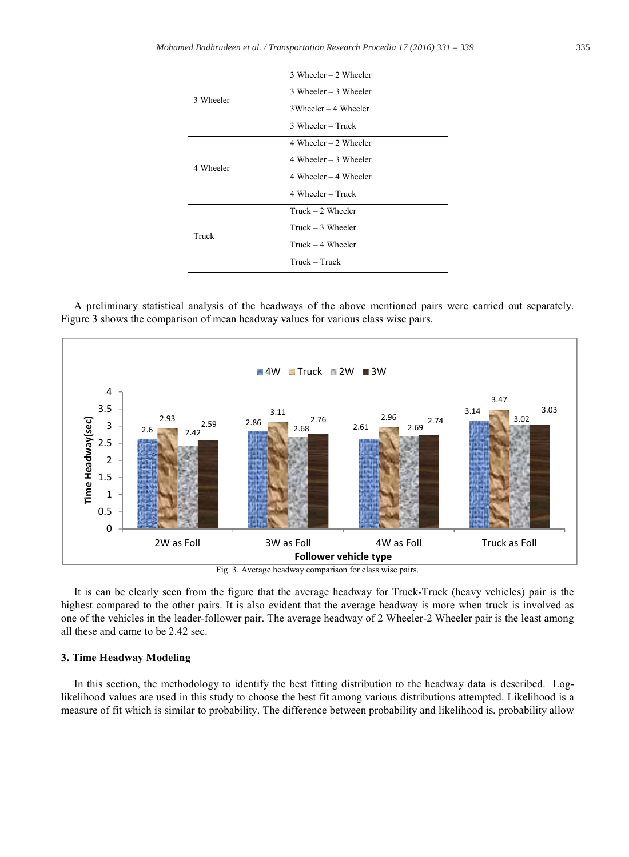|           | 3 Wheeler – 2 Wheeler   |  |  |  |  |
|-----------|-------------------------|--|--|--|--|
| 3 Wheeler | 3 Wheeler – 3 Wheeler   |  |  |  |  |
|           | $3$ Wheeler – 4 Wheeler |  |  |  |  |
|           | 3 Wheeler – Truck       |  |  |  |  |
|           | 4 Wheeler $-2$ Wheeler  |  |  |  |  |
| 4 Wheeler | 4 Wheeler $-3$ Wheeler  |  |  |  |  |
|           | 4 Wheeler $-$ 4 Wheeler |  |  |  |  |
|           | $4$ Wheeler – Truck     |  |  |  |  |
|           | $Truck - 2$ Wheeler     |  |  |  |  |
| Truck     | Truck $-3$ Wheeler      |  |  |  |  |
|           | $Truck - 4$ Wheeler     |  |  |  |  |
|           | $Truck - Truek$         |  |  |  |  |

A preliminary statistical analysis of the headways of the above mentioned pairs were carried out separately. Figure 3 shows the comparison of mean headway values for various class wise pairs.



It is can be clearly seen from the figure that the average headway for Truck-Truck (heavy vehicles) pair is the highest compared to the other pairs. It is also evident that the average headway is more when truck is involved as one of the vehicles in the leader-follower pair. The average headway of 2 Wheeler-2 Wheeler pair is the least among all these and came to be 2.42 sec.

### 3. Time Headway Modeling

In this section, the methodology to identify the best fitting distribution to the headway data is described. Loglikelihood values are used in this study to choose the best fit among various distributions attempted. Likelihood is a measure of fit which is similar to probability. The difference between probability and likelihood is, probability allow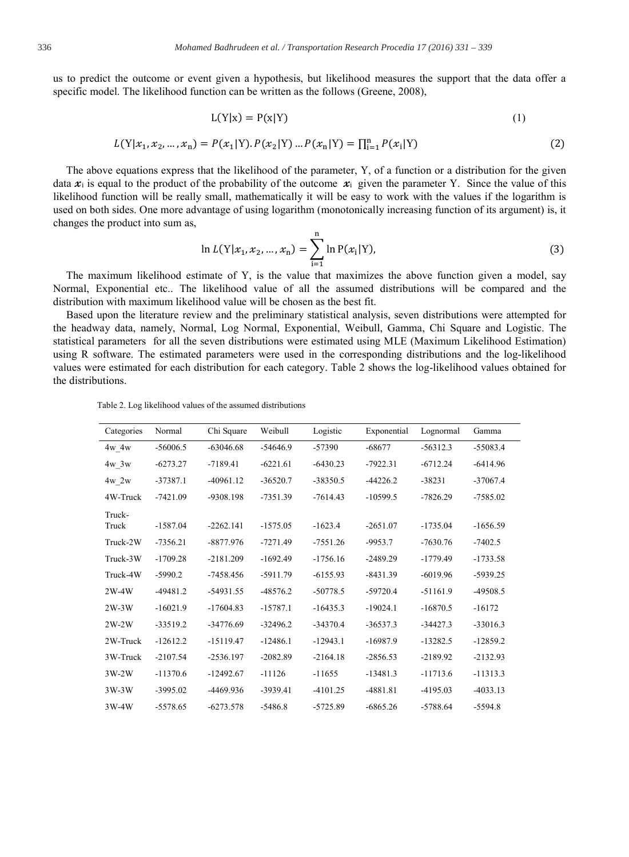us to predict the outcome or event given a hypothesis, but likelihood measures the support that the data offer a specific model. The likelihood function can be written as the follows (Greene, 2008),

$$
L(Y|x) = P(x|Y) \tag{1}
$$

$$
L(Y|x_1, x_2, ..., x_n) = P(x_1|Y) \cdot P(x_2|Y) ... P(x_n|Y) = \prod_{i=1}^n P(x_i|Y)
$$
\n(2)

The above equations express that the likelihood of the parameter,  $Y$ , of a function or a distribution for the given data  $x_i$  is equal to the product of the probability of the outcome  $x_i$  given the parameter Y. Since the value of this likelihood function will be really small, mathematically it will be easy to work with the values if the logarithm is used on both sides. One more advantage of using logarithm (monotonically increasing function of its argument) is, it changes the product into sum as,

$$
\ln L(Y|x_1, x_2, ..., x_n) = \sum_{i=1}^{n} \ln P(x_i|Y),
$$
\n(3)

The maximum likelihood estimate of  $Y$ , is the value that maximizes the above function given a model, say Normal, Exponential etc.. The likelihood value of all the assumed distributions will be compared and the distribution with maximum likelihood value will be chosen as the best fit.

Based upon the literature review and the preliminary statistical analysis, seven distributions were attempted for the headway data, namely, Normal, Log Normal, Exponential, Weibull, Gamma, Chi Square and Logistic. The statistical parameters for all the seven distributions were estimated using MLE (Maximum Likelihood Estimation) using R software. The estimated parameters were used in the corresponding distributions and the log-likelihood values were estimated for each distribution for each category. Table 2 shows the log-likelihood values obtained for the distributions.

| Categories | Normal     | Chi Square  | Weibull    | Logistic   | Exponential | Lognormal  | Gamma      |
|------------|------------|-------------|------------|------------|-------------|------------|------------|
| $4w$ $4w$  | $-56006.5$ | $-63046.68$ | $-54646.9$ | $-57390$   | $-68677$    | $-56312.3$ | $-55083.4$ |
| $4w$ $3w$  | $-6273.27$ | $-7189.41$  | $-6221.61$ | $-6430.23$ | $-7922.31$  | $-6712.24$ | $-6414.96$ |
| $4w$ 2w    | $-37387.1$ | $-40961.12$ | $-36520.7$ | $-38350.5$ | $-44226.2$  | $-38231$   | $-37067.4$ |
| 4W-Truck   | $-7421.09$ | -9308.198   | $-7351.39$ | $-7614.43$ | $-10599.5$  | $-7826.29$ | $-7585.02$ |
| Truck-     |            |             |            |            |             |            |            |
| Truck      | $-1587.04$ | $-2262.141$ | $-1575.05$ | $-1623.4$  | $-2651.07$  | $-1735.04$ | $-1656.59$ |
| Truck-2W   | $-7356.21$ | $-8877.976$ | $-7271.49$ | $-7551.26$ | $-9953.7$   | $-7630.76$ | $-7402.5$  |
| Truck-3W   | $-1709.28$ | $-2181.209$ | $-1692.49$ | $-1756.16$ | $-2489.29$  | $-1779.49$ | $-1733.58$ |
| Truck-4W   | $-5990.2$  | $-7458.456$ | $-5911.79$ | $-6155.93$ | $-8431.39$  | $-6019.96$ | $-5939.25$ |
| $2W-4W$    | $-49481.2$ | $-54931.55$ | $-48576.2$ | $-50778.5$ | $-59720.4$  | $-51161.9$ | $-49508.5$ |
| $2W-3W$    | $-16021.9$ | $-17604.83$ | $-15787.1$ | $-16435.3$ | $-19024.1$  | $-16870.5$ | $-16172$   |
| $2W-2W$    | $-33519.2$ | $-34776.69$ | $-32496.2$ | $-34370.4$ | $-36537.3$  | $-34427.3$ | $-33016.3$ |
| 2W-Truck   | $-12612.2$ | $-15119.47$ | $-12486.1$ | $-12943.1$ | $-16987.9$  | $-13282.5$ | $-12859.2$ |
| 3W-Truck   | $-2107.54$ | $-2536.197$ | $-2082.89$ | $-2164.18$ | $-2856.53$  | $-2189.92$ | $-2132.93$ |
| $3W-2W$    | $-11370.6$ | $-12492.67$ | $-11126$   | $-11655$   | $-13481.3$  | $-11713.6$ | $-11313.3$ |
| $3W-3W$    | $-3995.02$ | -4469.936   | $-3939.41$ | $-4101.25$ | $-4881.81$  | $-4195.03$ | $-4033.13$ |
| $3W-4W$    | $-5578.65$ | $-6273.578$ | $-5486.8$  | $-5725.89$ | $-6865.26$  | $-5788.64$ | $-5594.8$  |

Table 2. Log likelihood values of the assumed distributions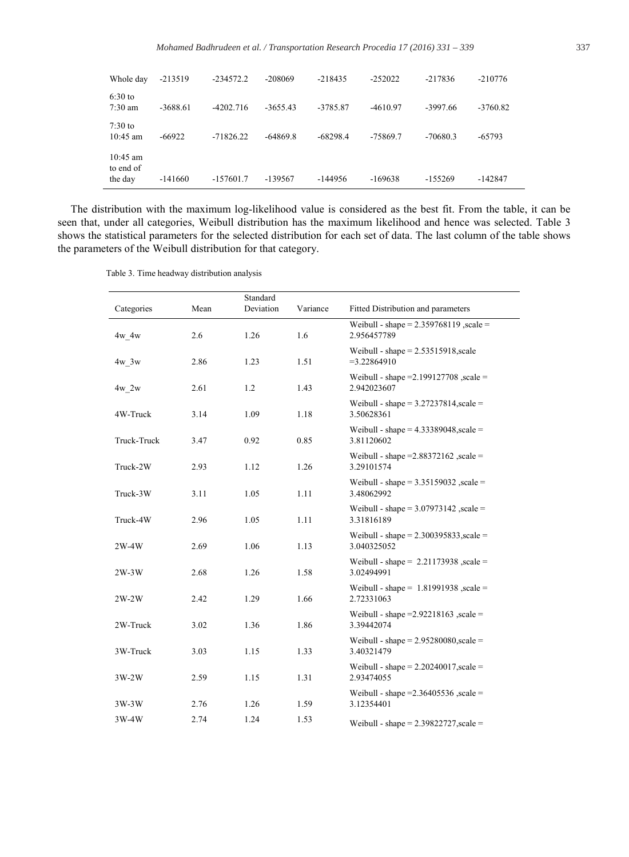| Whole day                          | $-213519$  | $-234572.2$ | $-208069$  | $-218435$  | $-252022$  | $-217836$  | $-210776$  |
|------------------------------------|------------|-------------|------------|------------|------------|------------|------------|
| $6:30$ to<br>$7:30$ am             | $-3688.61$ | $-4202.716$ | $-3655.43$ | -3785.87   | $-4610.97$ | $-3997.66$ | $-3760.82$ |
| $7:30$ to<br>$10:45$ am            | $-66922$   | $-71826.22$ | $-64869.8$ | $-68298.4$ | -75869.7   | $-70680.3$ | $-65793$   |
| $10:45$ am<br>to end of<br>the day | $-141660$  | $-157601.7$ | -139567    | $-144956$  | $-169638$  | $-155269$  | $-142847$  |

The distribution with the maximum log-likelihood value is considered as the best fit. From the table, it can be seen that, under all categories, Weibull distribution has the maximum likelihood and hence was selected. Table 3 shows the statistical parameters for the selected distribution for each set of data. The last column of the table shows the parameters of the Weibull distribution for that category.

Table 3. Time headway distribution analysis

|             |      | Standard  |          |                                                            |
|-------------|------|-----------|----------|------------------------------------------------------------|
| Categories  | Mean | Deviation | Variance | Fitted Distribution and parameters                         |
| $4w$ $4w$   | 2.6  | 1.26      | 1.6      | Weibull - shape = $2.359768119$ , scale =<br>2.956457789   |
| $4w$ $3w$   | 2.86 | 1.23      | 1.51     | Weibull - shape $= 2.53515918$ , scale<br>$= 3.22864910$   |
| $4w$ 2w     | 2.61 | 1.2       | 1.43     | Weibull - shape $=2.199127708$ , scale $=$<br>2.942023607  |
| 4W-Truck    | 3.14 | 1.09      | 1.18     | Weibull - shape $= 3.27237814$ , scale $=$<br>3.50628361   |
| Truck-Truck | 3.47 | 0.92      | 0.85     | Weibull - shape $= 4.33389048$ , scale $=$<br>3.81120602   |
| Truck-2W    | 2.93 | 1.12      | 1.26     | Weibull - shape $=2.88372162$ , scale $=$<br>3.29101574    |
| Truck-3W    | 3.11 | 1.05      | 1.11     | Weibull - shape = $3.35159032$ , scale =<br>3.48062992     |
| Truck-4W    | 2.96 | 1.05      | 1.11     | Weibull - shape = $3.07973142$ , scale =<br>3.31816189     |
| 2W-4W       | 2.69 | 1.06      | 1.13     | Weibull - shape $= 2.300395833$ , scale $=$<br>3.040325052 |
| $2W-3W$     | 2.68 | 1.26      | 1.58     | Weibull - shape = $2.21173938$ , scale =<br>3.02494991     |
| $2W-2W$     | 2.42 | 1.29      | 1.66     | Weibull - shape = $1.81991938$ , scale =<br>2.72331063     |
| 2W-Truck    | 3.02 | 1.36      | 1.86     | Weibull - shape $=2.92218163$ , scale $=$<br>3.39442074    |
| 3W-Truck    | 3.03 | 1.15      | 1.33     | Weibull - shape $= 2.95280080$ , scale $=$<br>3.40321479   |
| $3W-2W$     | 2.59 | 1.15      | 1.31     | Weibull - shape $= 2.20240017$ , scale $=$<br>2.93474055   |
| $3W-3W$     | 2.76 | 1.26      | 1.59     | Weibull - shape $=2.36405536$ , scale $=$<br>3.12354401    |
| $3W-4W$     | 2.74 | 1.24      | 1.53     | Weibull - shape = $2.39822727$ , scale =                   |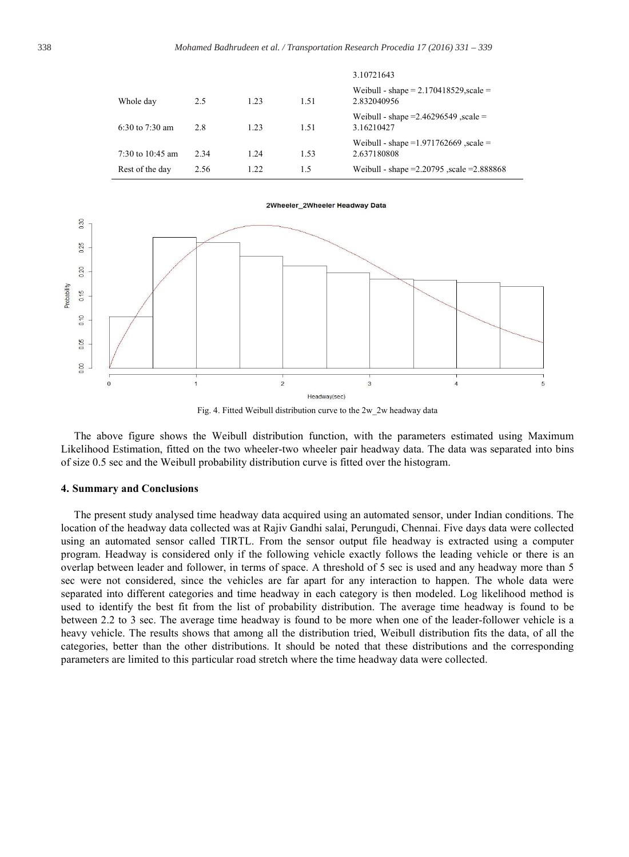|                      |      |      |      | 3.10721643                                                 |
|----------------------|------|------|------|------------------------------------------------------------|
| Whole day            | 2.5  | 1.23 | 1.51 | Weibull - shape $= 2.170418529$ , scale $=$<br>2.832040956 |
| $6:30$ to $7:30$ am  | 2.8  | 1.23 | 1.51 | Weibull - shape $=2.46296549$ , scale $=$<br>3.16210427    |
| $7:30$ to $10:45$ am | 2.34 | 1.24 | 1.53 | Weibull - shape $=1.971762669$ , scale $=$<br>2.637180808  |
| Rest of the day      | 2.56 | 1.22 | 1.5  | Weibull - shape $=2.20795$ , scale $=2.888868$             |



Fig. 4. Fitted Weibull distribution curve to the 2w\_2w headway data

The above figure shows the Weibull distribution function, with the parameters estimated using Maximum Likelihood Estimation, fitted on the two wheeler-two wheeler pair headway data. The data was separated into bins of size 0.5 sec and the Weibull probability distribution curve is fitted over the histogram.

#### 4. Summary and Conclusions

The present study analysed time headway data acquired using an automated sensor, under Indian conditions. The location of the headway data collected was at Rajiv Gandhi salai, Perungudi, Chennai. Five days data were collected using an automated sensor called TIRTL. From the sensor output file headway is extracted using a computer program. Headway is considered only if the following vehicle exactly follows the leading vehicle or there is an overlap between leader and follower, in terms of space. A threshold of 5 sec is used and any headway more than 5 sec were not considered, since the vehicles are far apart for any interaction to happen. The whole data were separated into different categories and time headway in each category is then modeled. Log likelihood method is used to identify the best fit from the list of probability distribution. The average time headway is found to be between 2.2 to 3 sec. The average time headway is found to be more when one of the leader-follower vehicle is a heavy vehicle. The results shows that among all the distribution tried, Weibull distribution fits the data, of all the categories, better than the other distributions. It should be noted that these distributions and the corresponding parameters are limited to this particular road stretch where the time headway data were collected.